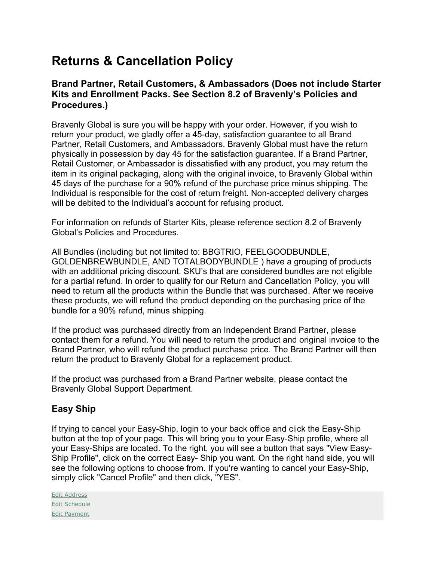# **Returns & Cancellation Policy**

## **Brand Partner, Retail Customers, & Ambassadors (Does not include Starter Kits and Enrollment Packs. See Section 8.2 of Bravenly's Policies and Procedures.)**

Bravenly Global is sure you will be happy with your order. However, if you wish to return your product, we gladly offer a 45-day, satisfaction guarantee to all Brand Partner, Retail Customers, and Ambassadors. Bravenly Global must have the return physically in possession by day 45 for the satisfaction guarantee. If a Brand Partner, Retail Customer, or Ambassador is dissatisfied with any product, you may return the item in its original packaging, along with the original invoice, to Bravenly Global within 45 days of the purchase for a 90% refund of the purchase price minus shipping. The Individual is responsible for the cost of return freight. Non-accepted delivery charges will be debited to the Individual's account for refusing product.

For information on refunds of Starter Kits, please reference section 8.2 of Bravenly Global's Policies and Procedures.

All Bundles (including but not limited to: BBGTRIO, FEELGOODBUNDLE, GOLDENBREWBUNDLE, AND TOTALBODYBUNDLE ) have a grouping of products with an additional pricing discount. SKU's that are considered bundles are not eligible for a partial refund. In order to qualify for our Return and Cancellation Policy, you will need to return all the products within the Bundle that was purchased. After we receive these products, we will refund the product depending on the purchasing price of the bundle for a 90% refund, minus shipping.

If the product was purchased directly from an Independent Brand Partner, please contact them for a refund. You will need to return the product and original invoice to the Brand Partner, who will refund the product purchase price. The Brand Partner will then return the product to Bravenly Global for a replacement product.

If the product was purchased from a Brand Partner website, please contact the Bravenly Global Support Department.

# **Easy Ship**

If trying to cancel your Easy-Ship, login to your back office and click the Easy-Ship button at the top of your page. This will bring you to your Easy-Ship profile, where all your Easy-Ships are located. To the right, you will see a button that says "View Easy-Ship Profile", click on the correct Easy- Ship you want. On the right hand side, you will see the following options to choose from. If you're wanting to cancel your Easy-Ship, simply click "Cancel Profile" and then click, "YES".

Edit Address Edit Schedule Edit Payment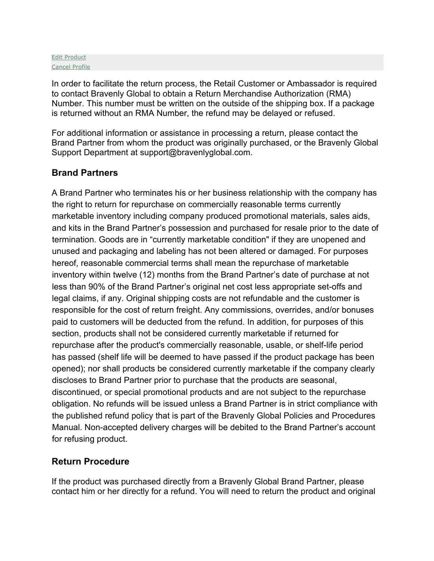#### Edit Product Cancel Profile

In order to facilitate the return process, the Retail Customer or Ambassador is required to contact Bravenly Global to obtain a Return Merchandise Authorization (RMA) Number. This number must be written on the outside of the shipping box. If a package is returned without an RMA Number, the refund may be delayed or refused.

For additional information or assistance in processing a return, please contact the Brand Partner from whom the product was originally purchased, or the Bravenly Global Support Department at support@bravenlyglobal.com.

## **Brand Partners**

A Brand Partner who terminates his or her business relationship with the company has the right to return for repurchase on commercially reasonable terms currently marketable inventory including company produced promotional materials, sales aids, and kits in the Brand Partner's possession and purchased for resale prior to the date of termination. Goods are in "currently marketable condition" if they are unopened and unused and packaging and labeling has not been altered or damaged. For purposes hereof, reasonable commercial terms shall mean the repurchase of marketable inventory within twelve (12) months from the Brand Partner's date of purchase at not less than 90% of the Brand Partner's original net cost less appropriate set-offs and legal claims, if any. Original shipping costs are not refundable and the customer is responsible for the cost of return freight. Any commissions, overrides, and/or bonuses paid to customers will be deducted from the refund. In addition, for purposes of this section, products shall not be considered currently marketable if returned for repurchase after the product's commercially reasonable, usable, or shelf-life period has passed (shelf life will be deemed to have passed if the product package has been opened); nor shall products be considered currently marketable if the company clearly discloses to Brand Partner prior to purchase that the products are seasonal, discontinued, or special promotional products and are not subject to the repurchase obligation. No refunds will be issued unless a Brand Partner is in strict compliance with the published refund policy that is part of the Bravenly Global Policies and Procedures Manual. Non-accepted delivery charges will be debited to the Brand Partner's account for refusing product.

# **Return Procedure**

If the product was purchased directly from a Bravenly Global Brand Partner, please contact him or her directly for a refund. You will need to return the product and original